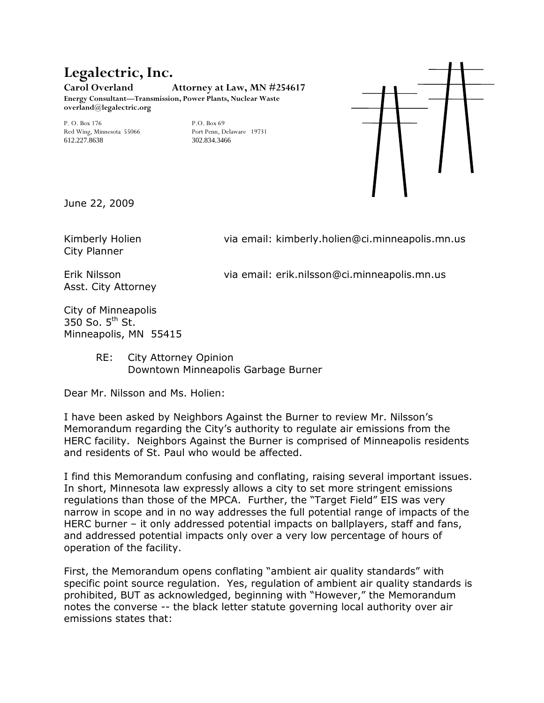## **Legalectric, Inc. Carol Overland Attorney at Law, MN #254617**

**Energy Consultant—Transmission, Power Plants, Nuclear Waste overland@legalectric.org** 

P. O. Box 176<br>
Red Wing, Minnesota 55066<br>
Port Penn, Delaware 19731 Red Wing, Minnesota 55066 Port Penn, Dela<br>612 227 8638 802 834 3466 612.227.8638



June 22, 2009

City Planner

Kimberly Holien via email: kimberly.holien@ci.minneapolis.mn.us

Asst. City Attorney

Erik Nilsson via email: erik.nilsson@ci.minneapolis.mn.us

City of Minneapolis 350 So.  $5<sup>th</sup>$  St. Minneapolis, MN 55415

> RE: City Attorney Opinion Downtown Minneapolis Garbage Burner

Dear Mr. Nilsson and Ms. Holien:

I have been asked by Neighbors Against the Burner to review Mr. Nilsson's Memorandum regarding the City's authority to regulate air emissions from the HERC facility. Neighbors Against the Burner is comprised of Minneapolis residents and residents of St. Paul who would be affected.

I find this Memorandum confusing and conflating, raising several important issues. In short, Minnesota law expressly allows a city to set more stringent emissions regulations than those of the MPCA. Further, the "Target Field" EIS was very narrow in scope and in no way addresses the full potential range of impacts of the HERC burner – it only addressed potential impacts on ballplayers, staff and fans, and addressed potential impacts only over a very low percentage of hours of operation of the facility.

First, the Memorandum opens conflating "ambient air quality standards" with specific point source regulation. Yes, regulation of ambient air quality standards is prohibited, BUT as acknowledged, beginning with "However," the Memorandum notes the converse -- the black letter statute governing local authority over air emissions states that: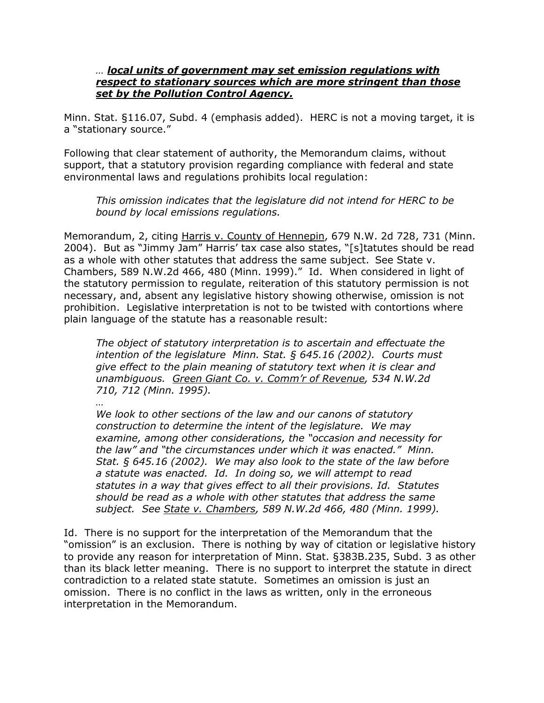## *… local units of government may set emission regulations with respect to stationary sources which are more stringent than those set by the Pollution Control Agency.*

Minn. Stat. §116.07, Subd. 4 (emphasis added). HERC is not a moving target, it is a "stationary source."

Following that clear statement of authority, the Memorandum claims, without support, that a statutory provision regarding compliance with federal and state environmental laws and regulations prohibits local regulation:

*This omission indicates that the legislature did not intend for HERC to be bound by local emissions regulations.* 

Memorandum, 2, citing Harris v. County of Hennepin, 679 N.W. 2d 728, 731 (Minn. 2004). But as "Jimmy Jam" Harris' tax case also states, "[s]tatutes should be read as a whole with other statutes that address the same subject. See State v. Chambers, 589 N.W.2d 466, 480 (Minn. 1999)." Id. When considered in light of the statutory permission to regulate, reiteration of this statutory permission is not necessary, and, absent any legislative history showing otherwise, omission is not prohibition. Legislative interpretation is not to be twisted with contortions where plain language of the statute has a reasonable result:

*The object of statutory interpretation is to ascertain and effectuate the intention of the legislature Minn. Stat. § 645.16 (2002). Courts must give effect to the plain meaning of statutory text when it is clear and unambiguous. Green Giant Co. v. Comm'r of Revenue, 534 N.W.2d 710, 712 (Minn. 1995).* 

*…* 

*We look to other sections of the law and our canons of statutory construction to determine the intent of the legislature. We may examine, among other considerations, the "occasion and necessity for the law" and "the circumstances under which it was enacted." Minn. Stat. § 645.16 (2002). We may also look to the state of the law before a statute was enacted. Id. In doing so, we will attempt to read statutes in a way that gives effect to all their provisions. Id. Statutes should be read as a whole with other statutes that address the same subject. See State v. Chambers, 589 N.W.2d 466, 480 (Minn. 1999).* 

Id. There is no support for the interpretation of the Memorandum that the "omission" is an exclusion. There is nothing by way of citation or legislative history to provide any reason for interpretation of Minn. Stat. §383B.235, Subd. 3 as other than its black letter meaning. There is no support to interpret the statute in direct contradiction to a related state statute. Sometimes an omission is just an omission. There is no conflict in the laws as written, only in the erroneous interpretation in the Memorandum.